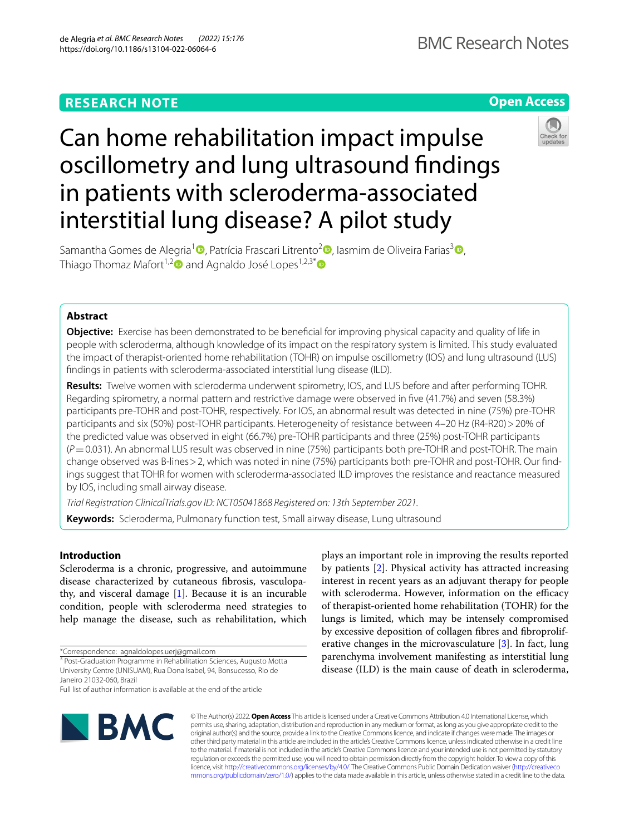# **RESEARCH NOTE**

# **Open Access**



# Can home rehabilitation impact impulse oscillometry and lung ultrasound fndings in patients with scleroderma-associated interstitial lung disease? A pilot study

Samantha Gomes de Alegria<sup>[1](http://orcid.org/0000-0003-1234-9413)</sup> , Patrícia Frascari Litrento<sup>[2](http://orcid.org/0000-0001-7405-4480)</sup> , Iasmim de Oliveira Farias<sup>[3](http://orcid.org/0000-0003-3303-2458)</sup> , Thiago Thomaz Mafort<sup>1,2</sup> and Agnaldo José Lopes<sup>1,2,3\*</sup>

# **Abstract**

**Objective:** Exercise has been demonstrated to be benefcial for improving physical capacity and quality of life in people with scleroderma, although knowledge of its impact on the respiratory system is limited. This study evaluated the impact of therapist-oriented home rehabilitation (TOHR) on impulse oscillometry (IOS) and lung ultrasound (LUS) fndings in patients with scleroderma-associated interstitial lung disease (ILD).

**Results:** Twelve women with scleroderma underwent spirometry, IOS, and LUS before and after performing TOHR. Regarding spirometry, a normal pattern and restrictive damage were observed in fve (41.7%) and seven (58.3%) participants pre-TOHR and post-TOHR, respectively. For IOS, an abnormal result was detected in nine (75%) pre-TOHR participants and six (50%) post-TOHR participants. Heterogeneity of resistance between 4–20 Hz (R4-R20)>20% of the predicted value was observed in eight (66.7%) pre-TOHR participants and three (25%) post-TOHR participants (*P*=0.031). An abnormal LUS result was observed in nine (75%) participants both pre-TOHR and post-TOHR. The main change observed was B-lines>2, which was noted in nine (75%) participants both pre-TOHR and post-TOHR. Our fndings suggest that TOHR for women with scleroderma-associated ILD improves the resistance and reactance measured by IOS, including small airway disease.

*Trial Registration ClinicalTrials.gov ID: NCT05041868 Registered on: 13th September 2021.* **Keywords:** Scleroderma, Pulmonary function test, Small airway disease, Lung ultrasound

# **Introduction**

Scleroderma is a chronic, progressive, and autoimmune disease characterized by cutaneous fbrosis, vasculopathy, and visceral damage [\[1](#page-4-0)]. Because it is an incurable condition, people with scleroderma need strategies to help manage the disease, such as rehabilitation, which

\*Correspondence: agnaldolopes.uerj@gmail.com

<sup>3</sup> Post-Graduation Programme in Rehabilitation Sciences, Augusto Motta University Centre (UNISUAM), Rua Dona Isabel, 94, Bonsucesso, Rio de Janeiro 21032-060, Brazil

Full list of author information is available at the end of the article

plays an important role in improving the results reported by patients [[2\]](#page-4-1). Physical activity has attracted increasing interest in recent years as an adjuvant therapy for people with scleroderma. However, information on the efficacy of therapist-oriented home rehabilitation (TOHR) for the lungs is limited, which may be intensely compromised by excessive deposition of collagen fbres and fbroproliferative changes in the microvasculature [[3\]](#page-4-2). In fact, lung parenchyma involvement manifesting as interstitial lung disease (ILD) is the main cause of death in scleroderma,



© The Author(s) 2022. **Open Access** This article is licensed under a Creative Commons Attribution 4.0 International License, which permits use, sharing, adaptation, distribution and reproduction in any medium or format, as long as you give appropriate credit to the original author(s) and the source, provide a link to the Creative Commons licence, and indicate if changes were made. The images or other third party material in this article are included in the article's Creative Commons licence, unless indicated otherwise in a credit line to the material. If material is not included in the article's Creative Commons licence and your intended use is not permitted by statutory regulation or exceeds the permitted use, you will need to obtain permission directly from the copyright holder. To view a copy of this licence, visit [http://creativecommons.org/licenses/by/4.0/.](http://creativecommons.org/licenses/by/4.0/) The Creative Commons Public Domain Dedication waiver ([http://creativeco](http://creativecommons.org/publicdomain/zero/1.0/) [mmons.org/publicdomain/zero/1.0/](http://creativecommons.org/publicdomain/zero/1.0/)) applies to the data made available in this article, unless otherwise stated in a credit line to the data.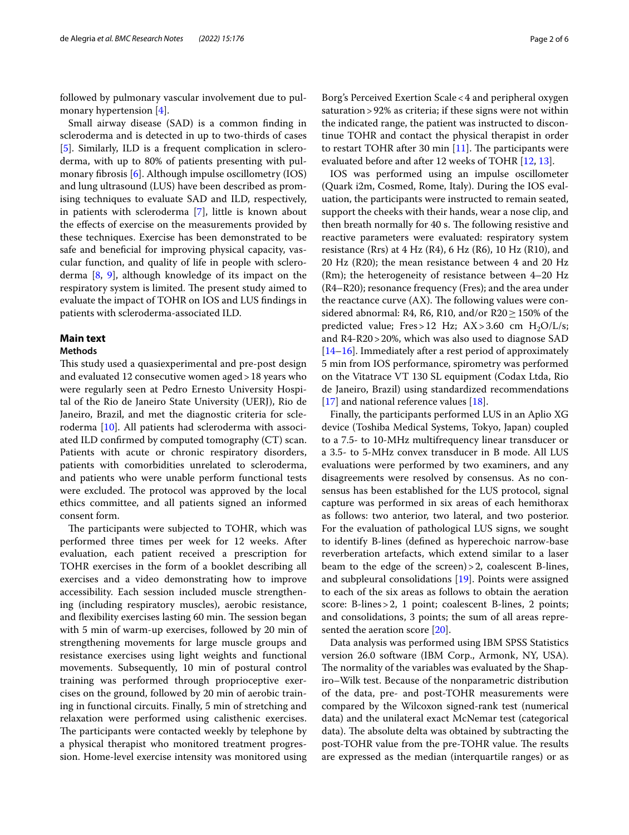followed by pulmonary vascular involvement due to pulmonary hypertension [\[4](#page-5-0)].

Small airway disease (SAD) is a common fnding in scleroderma and is detected in up to two-thirds of cases [[5\]](#page-5-1). Similarly, ILD is a frequent complication in scleroderma, with up to 80% of patients presenting with pulmonary fbrosis [\[6](#page-5-2)]. Although impulse oscillometry (IOS) and lung ultrasound (LUS) have been described as promising techniques to evaluate SAD and ILD, respectively, in patients with scleroderma [\[7](#page-5-3)], little is known about the efects of exercise on the measurements provided by these techniques. Exercise has been demonstrated to be safe and benefcial for improving physical capacity, vascular function, and quality of life in people with scleroderma [\[8](#page-5-4), [9](#page-5-5)], although knowledge of its impact on the respiratory system is limited. The present study aimed to evaluate the impact of TOHR on IOS and LUS fndings in patients with scleroderma-associated ILD.

# **Main text**

# **Methods**

This study used a quasiexperimental and pre-post design and evaluated 12 consecutive women aged>18 years who were regularly seen at Pedro Ernesto University Hospital of the Rio de Janeiro State University (UERJ), Rio de Janeiro, Brazil, and met the diagnostic criteria for scleroderma [\[10](#page-5-6)]. All patients had scleroderma with associated ILD confrmed by computed tomography (CT) scan. Patients with acute or chronic respiratory disorders, patients with comorbidities unrelated to scleroderma, and patients who were unable perform functional tests were excluded. The protocol was approved by the local ethics committee, and all patients signed an informed consent form.

The participants were subjected to TOHR, which was performed three times per week for 12 weeks. After evaluation, each patient received a prescription for TOHR exercises in the form of a booklet describing all exercises and a video demonstrating how to improve accessibility. Each session included muscle strengthening (including respiratory muscles), aerobic resistance, and flexibility exercises lasting 60 min. The session began with 5 min of warm-up exercises, followed by 20 min of strengthening movements for large muscle groups and resistance exercises using light weights and functional movements. Subsequently, 10 min of postural control training was performed through proprioceptive exercises on the ground, followed by 20 min of aerobic training in functional circuits. Finally, 5 min of stretching and relaxation were performed using calisthenic exercises. The participants were contacted weekly by telephone by a physical therapist who monitored treatment progression. Home-level exercise intensity was monitored using Borg's Perceived Exertion Scale<4 and peripheral oxygen saturation > 92% as criteria; if these signs were not within the indicated range, the patient was instructed to discontinue TOHR and contact the physical therapist in order to restart TOHR after 30 min  $[11]$  $[11]$  $[11]$ . The participants were evaluated before and after 12 weeks of TOHR [[12,](#page-5-8) [13](#page-5-9)].

IOS was performed using an impulse oscillometer (Quark i2m, Cosmed, Rome, Italy). During the IOS evaluation, the participants were instructed to remain seated, support the cheeks with their hands, wear a nose clip, and then breath normally for 40 s. The following resistive and reactive parameters were evaluated: respiratory system resistance (Rrs) at  $4$  Hz (R4), 6 Hz (R6), 10 Hz (R10), and 20 Hz (R20); the mean resistance between 4 and 20 Hz (Rm); the heterogeneity of resistance between 4–20 Hz (R4–R20); resonance frequency (Fres); and the area under the reactance curve  $(AX)$ . The following values were considered abnormal: R4, R6, R10, and/or  $R20 \ge 150\%$  of the predicted value; Fres > 12 Hz;  $AX > 3.60$  cm  $H<sub>2</sub>O/L/s$ ; and R4-R20>20%, which was also used to diagnose SAD [[14–](#page-5-10)[16\]](#page-5-11). Immediately after a rest period of approximately 5 min from IOS performance, spirometry was performed on the Vitatrace VT 130 SL equipment (Codax Ltda, Rio de Janeiro, Brazil) using standardized recommendations [[17\]](#page-5-12) and national reference values [\[18](#page-5-13)].

Finally, the participants performed LUS in an Aplio XG device (Toshiba Medical Systems, Tokyo, Japan) coupled to a 7.5- to 10-MHz multifrequency linear transducer or a 3.5- to 5-MHz convex transducer in B mode. All LUS evaluations were performed by two examiners, and any disagreements were resolved by consensus. As no consensus has been established for the LUS protocol, signal capture was performed in six areas of each hemithorax as follows: two anterior, two lateral, and two posterior. For the evaluation of pathological LUS signs, we sought to identify B-lines (defned as hyperechoic narrow-base reverberation artefacts, which extend similar to a laser beam to the edge of the screen) $>2$ , coalescent B-lines, and subpleural consolidations [\[19\]](#page-5-14). Points were assigned to each of the six areas as follows to obtain the aeration score: B-lines > 2, 1 point; coalescent B-lines, 2 points; and consolidations, 3 points; the sum of all areas represented the aeration score [[20\]](#page-5-15).

Data analysis was performed using IBM SPSS Statistics version 26.0 software (IBM Corp., Armonk, NY, USA). The normality of the variables was evaluated by the Shapiro–Wilk test. Because of the nonparametric distribution of the data, pre- and post-TOHR measurements were compared by the Wilcoxon signed-rank test (numerical data) and the unilateral exact McNemar test (categorical data). The absolute delta was obtained by subtracting the post-TOHR value from the pre-TOHR value. The results are expressed as the median (interquartile ranges) or as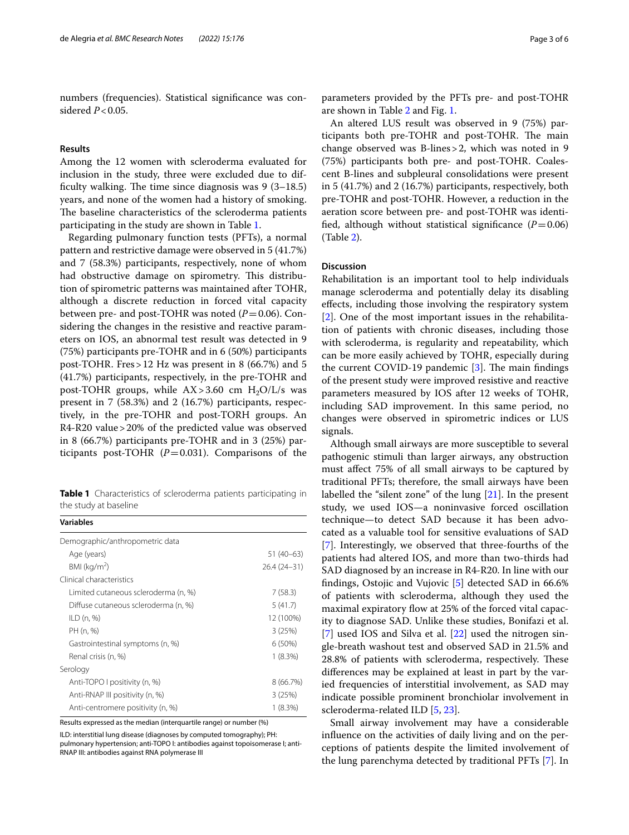numbers (frequencies). Statistical signifcance was considered *P*<0.05.

# **Results**

Among the 12 women with scleroderma evaluated for inclusion in the study, three were excluded due to difficulty walking. The time since diagnosis was  $9(3-18.5)$ years, and none of the women had a history of smoking. The baseline characteristics of the scleroderma patients participating in the study are shown in Table [1](#page-2-0).

Regarding pulmonary function tests (PFTs), a normal pattern and restrictive damage were observed in 5 (41.7%) and 7 (58.3%) participants, respectively, none of whom had obstructive damage on spirometry. This distribution of spirometric patterns was maintained after TOHR, although a discrete reduction in forced vital capacity between pre- and post-TOHR was noted  $(P=0.06)$ . Considering the changes in the resistive and reactive parameters on IOS, an abnormal test result was detected in 9 (75%) participants pre-TOHR and in 6 (50%) participants post-TOHR. Fres>12 Hz was present in 8 (66.7%) and 5 (41.7%) participants, respectively, in the pre-TOHR and post-TOHR groups, while  $AX > 3.60$  cm  $H<sub>2</sub>O/L/s$  was present in 7 (58.3%) and 2 (16.7%) participants, respectively, in the pre-TOHR and post-TORH groups. An R4-R20 value>20% of the predicted value was observed in 8 (66.7%) participants pre-TOHR and in 3 (25%) participants post-TOHR  $(P=0.031)$ . Comparisons of the

<span id="page-2-0"></span>**Table 1** Characteristics of scleroderma patients participating in the study at baseline

| Variables                            |              |
|--------------------------------------|--------------|
| Demographic/anthropometric data      |              |
| Age (years)                          | 51 (40–63)   |
| BMI ( $kg/m2$ )                      | 26.4 (24–31) |
| Clinical characteristics             |              |
| Limited cutaneous scleroderma (n, %) | 7(58.3)      |
| Diffuse cutaneous scleroderma (n, %) | 5(41.7)      |
| ILD(n, %)                            | 12 (100%)    |
| PH (n, %)                            | 3(25%)       |
| Gastrointestinal symptoms (n, %)     | 6(50%)       |
| Renal crisis (n, %)                  | 1(8.3%)      |
| Serology                             |              |
| Anti-TOPO I positivity (n, %)        | 8(66.7%)     |
| Anti-RNAP III positivity (n, %)      | 3(25%)       |
| Anti-centromere positivity (n, %)    | 1(8.3%)      |
|                                      |              |

Results expressed as the median (interquartile range) or number (%)

ILD: interstitial lung disease (diagnoses by computed tomography); PH: pulmonary hypertension; anti-TOPO I: antibodies against topoisomerase I; anti-RNAP III: antibodies against RNA polymerase III

parameters provided by the PFTs pre- and post-TOHR are shown in Table [2](#page-3-0) and Fig. [1](#page-3-1).

An altered LUS result was observed in 9 (75%) participants both pre-TOHR and post-TOHR. The main change observed was B-lines>2, which was noted in 9 (75%) participants both pre- and post-TOHR. Coalescent B-lines and subpleural consolidations were present in 5 (41.7%) and 2 (16.7%) participants, respectively, both pre-TOHR and post-TOHR. However, a reduction in the aeration score between pre- and post-TOHR was identified, although without statistical significance  $(P=0.06)$ (Table [2\)](#page-3-0).

## **Discussion**

Rehabilitation is an important tool to help individuals manage scleroderma and potentially delay its disabling efects, including those involving the respiratory system [[2\]](#page-4-1). One of the most important issues in the rehabilitation of patients with chronic diseases, including those with scleroderma, is regularity and repeatability, which can be more easily achieved by TOHR, especially during the current COVID-19 pandemic  $[3]$  $[3]$ . The main findings of the present study were improved resistive and reactive parameters measured by IOS after 12 weeks of TOHR, including SAD improvement. In this same period, no changes were observed in spirometric indices or LUS signals.

Although small airways are more susceptible to several pathogenic stimuli than larger airways, any obstruction must afect 75% of all small airways to be captured by traditional PFTs; therefore, the small airways have been labelled the "silent zone" of the lung [[21\]](#page-5-16). In the present study, we used IOS—a noninvasive forced oscillation technique—to detect SAD because it has been advocated as a valuable tool for sensitive evaluations of SAD [[7\]](#page-5-3). Interestingly, we observed that three-fourths of the patients had altered IOS, and more than two-thirds had SAD diagnosed by an increase in R4-R20. In line with our fndings, Ostojic and Vujovic [\[5](#page-5-1)] detected SAD in 66.6% of patients with scleroderma, although they used the maximal expiratory flow at 25% of the forced vital capacity to diagnose SAD. Unlike these studies, Bonifazi et al. [[7\]](#page-5-3) used IOS and Silva et al. [[22](#page-5-17)] used the nitrogen single-breath washout test and observed SAD in 21.5% and 28.8% of patients with scleroderma, respectively. These diferences may be explained at least in part by the varied frequencies of interstitial involvement, as SAD may indicate possible prominent bronchiolar involvement in scleroderma-related ILD [[5,](#page-5-1) [23](#page-5-18)].

Small airway involvement may have a considerable infuence on the activities of daily living and on the perceptions of patients despite the limited involvement of the lung parenchyma detected by traditional PFTs [[7\]](#page-5-3). In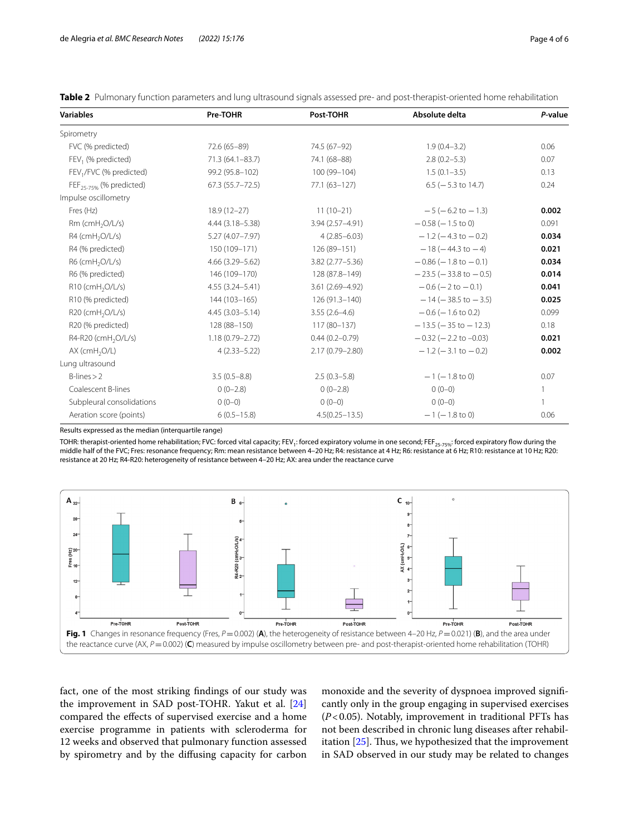<span id="page-3-0"></span>

|  |  |  |  |  | Table 2 Pulmonary function parameters and lung ultrasound signals assessed pre- and post-therapist-oriented home rehabilitation |  |
|--|--|--|--|--|---------------------------------------------------------------------------------------------------------------------------------|--|
|--|--|--|--|--|---------------------------------------------------------------------------------------------------------------------------------|--|

| <b>Variables</b>                    | Pre-TOHR            | Post-TOHR           | Absolute delta                | P-value |
|-------------------------------------|---------------------|---------------------|-------------------------------|---------|
| Spirometry                          |                     |                     |                               |         |
| FVC (% predicted)                   | 72.6 (65-89)        | 74.5 (67-92)        | $1.9(0.4-3.2)$                | 0.06    |
| $FEV1$ (% predicted)                | 71.3 (64.1-83.7)    | 74.1 (68-88)        | $2.8(0.2-5.3)$                | 0.07    |
| FEV <sub>1</sub> /FVC (% predicted) | 99.2 (95.8-102)     | 100 (99-104)        | $1.5(0.1 - 3.5)$              | 0.13    |
| $FEF_{25-75%}$ (% predicted)        | $67.3(55.7 - 72.5)$ | $77.1(63 - 127)$    | $6.5$ ( $-5.3$ to 14.7)       | 0.24    |
| Impulse oscillometry                |                     |                     |                               |         |
| Fres (Hz)                           | $18.9(12 - 27)$     | $11(10-21)$         | $-5(-6.2 \text{ to } -1.3)$   | 0.002   |
| $Rm$ (cmH <sub>2</sub> O/L/s)       | 4.44 (3.18-5.38)    | 3.94 (2.57-4.91)    | $-0.58$ ( $-1.5$ to 0)        | 0.091   |
| R4 (cmH <sub>2</sub> O/L/s)         | 5.27 (4.07-7.97)    | $4(2.85 - 6.03)$    | $-1.2$ ( $-4.3$ to $-0.2$ )   | 0.034   |
| R4 (% predicted)                    | 150 (109-171)       | 126 (89-151)        | $-18(-44.3 \text{ to } -4)$   | 0.021   |
| R6 (cmH <sub>2</sub> O/L/s)         | $4.66(3.29 - 5.62)$ | $3.82(2.77 - 5.36)$ | $-0.86$ ( $-1.8$ to $-0.1$ )  | 0.034   |
| R6 (% predicted)                    | 146 (109-170)       | 128 (87.8-149)      | $-23.5$ ( $-33.8$ to $-0.5$ ) | 0.014   |
| $R10$ (cmH <sub>2</sub> O/L/s)      | $4.55(3.24 - 5.41)$ | 3.61 (2.69-4.92)    | $-0.6$ ( $-2$ to $-0.1$ )     | 0.041   |
| R10 (% predicted)                   | 144 (103-165)       | $126(91.3 - 140)$   | $-14$ ( $-38.5$ to $-3.5$ )   | 0.025   |
| R20 (cmH <sub>2</sub> O/L/s)        | $4.45(3.03 - 5.14)$ | $3.55(2.6-4.6)$     | $-0.6$ ( $-1.6$ to 0.2)       | 0.099   |
| R20 (% predicted)                   | 128 (88-150)        | 117 (80-137)        | $-13.5$ ( $-35$ to $-12.3$ )  | 0.18    |
| R4-R20 (cmH <sub>2</sub> O/L/s)     | $1.18(0.79 - 2.72)$ | $0.44(0.2 - 0.79)$  | $-0.32$ ( $-2.2$ to $-0.03$ ) | 0.021   |
| AX (cmH <sub>2</sub> O/L)           | $4(2.33 - 5.22)$    | $2.17(0.79 - 2.80)$ | $-1.2$ ( $-3.1$ to $-0.2$ )   | 0.002   |
| Lung ultrasound                     |                     |                     |                               |         |
| $B$ -lines $> 2$                    | $3.5(0.5 - 8.8)$    | $2.5(0.3-5.8)$      | $-1$ ( $-1.8$ to 0)           | 0.07    |
| Coalescent B-lines                  | $0(0-2.8)$          | $0(0-2.8)$          | $0(0-0)$                      |         |
| Subpleural consolidations           | $0(0-0)$            | $0(0-0)$            | $0(0-0)$                      |         |
| Aeration score (points)             | $6(0.5 - 15.8)$     | $4.5(0.25 - 13.5)$  | $-1$ ( $-1.8$ to 0)           | 0.06    |

Results expressed as the median (interquartile range)

TOHR: therapist-oriented home rehabilitation; FVC: forced vital capacity; FEV<sub>1</sub>: forced expiratory volume in one second; FEF<sub>25-75%</sub>: forced expiratory flow during the middle half of the FVC; Fres: resonance frequency; Rm: mean resistance between 4–20 Hz; R4: resistance at 4 Hz; R6: resistance at 6 Hz; R10: resistance at 10 Hz; R20: resistance at 20 Hz; R4-R20: heterogeneity of resistance between 4–20 Hz; AX: area under the reactance curve



<span id="page-3-1"></span>fact, one of the most striking fndings of our study was the improvement in SAD post-TOHR. Yakut et al. [[24](#page-5-19)] compared the efects of supervised exercise and a home exercise programme in patients with scleroderma for 12 weeks and observed that pulmonary function assessed by spirometry and by the difusing capacity for carbon monoxide and the severity of dyspnoea improved signifcantly only in the group engaging in supervised exercises (*P*<0.05). Notably, improvement in traditional PFTs has not been described in chronic lung diseases after rehabilitation  $[25]$  $[25]$ . Thus, we hypothesized that the improvement in SAD observed in our study may be related to changes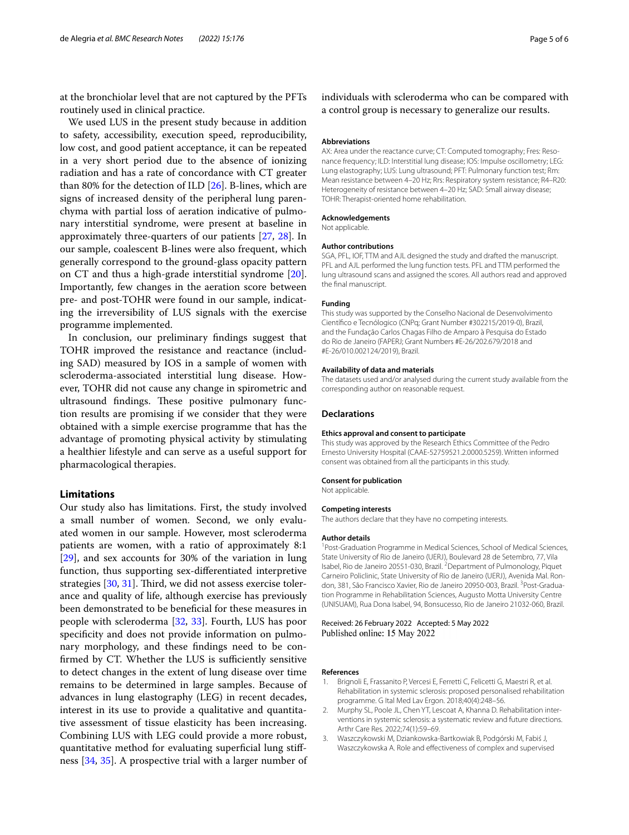at the bronchiolar level that are not captured by the PFTs routinely used in clinical practice.

We used LUS in the present study because in addition to safety, accessibility, execution speed, reproducibility, low cost, and good patient acceptance, it can be repeated in a very short period due to the absence of ionizing radiation and has a rate of concordance with CT greater than 80% for the detection of ILD [[26\]](#page-5-21). B-lines, which are signs of increased density of the peripheral lung parenchyma with partial loss of aeration indicative of pulmonary interstitial syndrome, were present at baseline in approximately three-quarters of our patients [\[27,](#page-5-22) [28](#page-5-23)]. In our sample, coalescent B-lines were also frequent, which generally correspond to the ground-glass opacity pattern on CT and thus a high-grade interstitial syndrome [\[20](#page-5-15)]. Importantly, few changes in the aeration score between pre- and post-TOHR were found in our sample, indicating the irreversibility of LUS signals with the exercise programme implemented.

In conclusion, our preliminary fndings suggest that TOHR improved the resistance and reactance (including SAD) measured by IOS in a sample of women with scleroderma-associated interstitial lung disease. However, TOHR did not cause any change in spirometric and ultrasound findings. These positive pulmonary function results are promising if we consider that they were obtained with a simple exercise programme that has the advantage of promoting physical activity by stimulating a healthier lifestyle and can serve as a useful support for pharmacological therapies.

# **Limitations**

Our study also has limitations. First, the study involved a small number of women. Second, we only evaluated women in our sample. However, most scleroderma patients are women, with a ratio of approximately 8:1 [[29\]](#page-5-24), and sex accounts for 30% of the variation in lung function, thus supporting sex-diferentiated interpretive strategies  $[30, 31]$  $[30, 31]$  $[30, 31]$  $[30, 31]$  $[30, 31]$ . Third, we did not assess exercise tolerance and quality of life, although exercise has previously been demonstrated to be benefcial for these measures in people with scleroderma [[32,](#page-5-27) [33](#page-5-28)]. Fourth, LUS has poor specificity and does not provide information on pulmonary morphology, and these fndings need to be confirmed by CT. Whether the LUS is sufficiently sensitive to detect changes in the extent of lung disease over time remains to be determined in large samples. Because of advances in lung elastography (LEG) in recent decades, interest in its use to provide a qualitative and quantitative assessment of tissue elasticity has been increasing. Combining LUS with LEG could provide a more robust, quantitative method for evaluating superfcial lung stifness [\[34](#page-5-29), [35\]](#page-5-30). A prospective trial with a larger number of

individuals with scleroderma who can be compared with a control group is necessary to generalize our results.

## **Abbreviations**

AX: Area under the reactance curve; CT: Computed tomography; Fres: Resonance frequency; ILD: Interstitial lung disease; IOS: Impulse oscillometry; LEG: Lung elastography; LUS: Lung ultrasound; PFT: Pulmonary function test; Rm: Mean resistance between 4–20 Hz; Rrs: Respiratory system resistance; R4–R20: Heterogeneity of resistance between 4–20 Hz; SAD: Small airway disease; TOHR: Therapist-oriented home rehabilitation.

#### **Acknowledgements**

Not applicable.

#### **Author contributions**

SGA, PFL, IOF, TTM and AJL designed the study and drafted the manuscript. PFL and AJL performed the lung function tests. PFL and TTM performed the lung ultrasound scans and assigned the scores. All authors read and approved the fnal manuscript.

# **Funding**

This study was supported by the Conselho Nacional de Desenvolvimento Científco e Tecnólogico (CNPq; Grant Number #302215/2019-0), Brazil, and the Fundação Carlos Chagas Filho de Amparo à Pesquisa do Estado do Rio de Janeiro (FAPERJ; Grant Numbers #E-26/202.679/2018 and #E-26/010.002124/2019), Brazil.

#### **Availability of data and materials**

The datasets used and/or analysed during the current study available from the corresponding author on reasonable request.

## **Declarations**

#### **Ethics approval and consent to participate**

This study was approved by the Research Ethics Committee of the Pedro Ernesto University Hospital (CAAE-52759521.2.0000.5259). Written informed consent was obtained from all the participants in this study.

#### **Consent for publication**

Not applicable.

#### **Competing interests**

The authors declare that they have no competing interests.

#### **Author details**

<sup>1</sup> Post-Graduation Programme in Medical Sciences, School of Medical Sciences, State University of Rio de Janeiro (UERJ), Boulevard 28 de Setembro, 77, Vila Isabel, Rio de Janeiro 20551-030, Brazil. <sup>2</sup> Department of Pulmonology, Piquet Carneiro Policlinic, State University of Rio de Janeiro (UERJ), Avenida Mal. Rondon, 381, São Francisco Xavier, Rio de Janeiro 20950-003, Brazil. <sup>3</sup> Post-Graduation Programme in Rehabilitation Sciences, Augusto Motta University Centre (UNISUAM), Rua Dona Isabel, 94, Bonsucesso, Rio de Janeiro 21032-060, Brazil.

## Received: 26 February 2022 Accepted: 5 May 2022 Published online: 15 May 2022

## **References**

- <span id="page-4-0"></span>1. Brignoli E, Frassanito P, Vercesi E, Ferretti C, Felicetti G, Maestri R, et al. Rehabilitation in systemic sclerosis: proposed personalised rehabilitation programme. G Ital Med Lav Ergon. 2018;40(4):248–56.
- <span id="page-4-1"></span>2. Murphy SL, Poole JL, Chen YT, Lescoat A, Khanna D. Rehabilitation interventions in systemic sclerosis: a systematic review and future directions. Arthr Care Res. 2022;74(1):59–69.
- <span id="page-4-2"></span>3. Waszczykowski M, Dziankowska-Bartkowiak B, Podgórski M, Fabiś J, Waszczykowska A. Role and efectiveness of complex and supervised